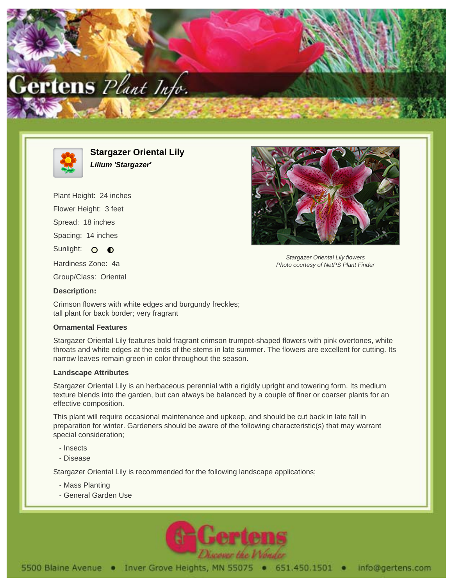



**Stargazer Oriental Lily Lilium 'Stargazer'**

Plant Height: 24 inches Flower Height: 3 feet Spread: 18 inches Spacing: 14 inches Sunlight: O O Hardiness Zone: 4a Group/Class: Oriental



Stargazer Oriental Lily flowers Photo courtesy of NetPS Plant Finder

Crimson flowers with white edges and burgundy freckles; tall plant for back border; very fragrant

## **Ornamental Features**

**Description:**

Stargazer Oriental Lily features bold fragrant crimson trumpet-shaped flowers with pink overtones, white throats and white edges at the ends of the stems in late summer. The flowers are excellent for cutting. Its narrow leaves remain green in color throughout the season.

## **Landscape Attributes**

Stargazer Oriental Lily is an herbaceous perennial with a rigidly upright and towering form. Its medium texture blends into the garden, but can always be balanced by a couple of finer or coarser plants for an effective composition.

This plant will require occasional maintenance and upkeep, and should be cut back in late fall in preparation for winter. Gardeners should be aware of the following characteristic(s) that may warrant special consideration;

- Insects
- Disease

Stargazer Oriental Lily is recommended for the following landscape applications;

- Mass Planting
- General Garden Use